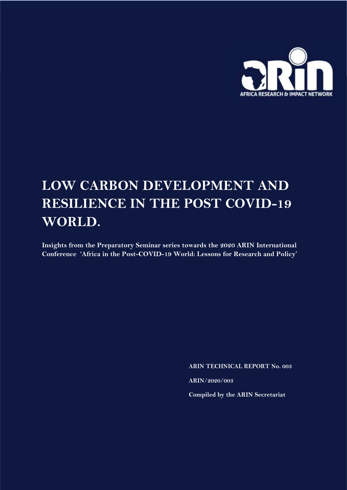

# **LOW CARBON DEVELOPMENT AND RESILIENCE IN THE POST COVID-19 WORLD.**

**Insights from the Preparatory Seminar series towards the 2020 ARIN International Conference 'Africa in the Post-COVID-19 World: Lessons for Research and Policy'**

**ARIN TECHNICAL REPORT No. 003**

**ARIN/2020/003**

**Compiled by the ARIN Secretariat**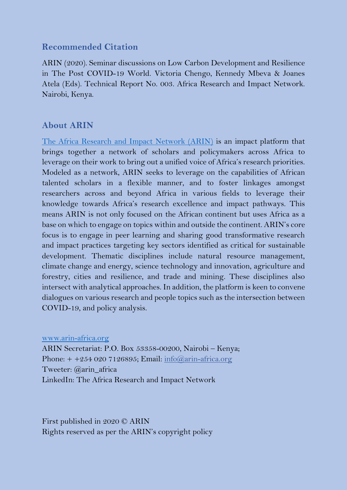## **Recommended Citation**

ARIN (2020). Seminar discussions on Low Carbon Development and Resilience in The Post COVID-19 World. Victoria Chengo, Kennedy Mbeva & Joanes Atela (Eds). Technical Report No. 003. Africa Research and Impact Network. Nairobi, Kenya.

## **About ARIN**

[The Africa Research and Impact Network \(ARIN\)](https://www.arin-africa.org/) is an impact platform that brings together a network of scholars and policymakers across Africa to leverage on their work to bring out a unified voice of Africa's research priorities. Modeled as a network, ARIN seeks to leverage on the capabilities of African talented scholars in a flexible manner, and to foster linkages amongst researchers across and beyond Africa in various fields to leverage their knowledge towards Africa's research excellence and impact pathways. This means ARIN is not only focused on the African continent but uses Africa as a base on which to engage on topics within and outside the continent. ARIN's core focus is to engage in peer learning and sharing good transformative research and impact practices targeting key sectors identified as critical for sustainable development. Thematic disciplines include natural resource management, climate change and energy, science technology and innovation, agriculture and forestry, cities and resilience, and trade and mining. These disciplines also intersect with analytical approaches. In addition, the platform is keen to convene dialogues on various research and people topics such as the intersection between COVID-19, and policy analysis.

#### [www.arin-africa.org](http://www.arin-africa.org/)

ARIN Secretariat: P.O. Box 53358-00200, Nairobi – Kenya; Phone:  $+ +2540207126895$ ; Email:  $\frac{\text{info}(a)}{\text{arin-africa.org}}$ Tweeter: @arin\_africa LinkedIn: The Africa Research and Impact Network

First published in 2020 © ARIN Rights reserved as per the ARIN's copyright policy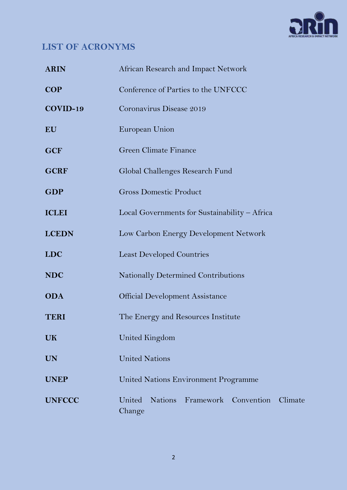

# <span id="page-2-0"></span>**LIST OF ACRONYMS**

| <b>ARIN</b>   | African Research and Impact Network                      |
|---------------|----------------------------------------------------------|
| <b>COP</b>    | Conference of Parties to the UNFCCC                      |
| COVID-19      | Coronavirus Disease 2019                                 |
| EU            | European Union                                           |
| <b>GCF</b>    | <b>Green Climate Finance</b>                             |
| <b>GCRF</b>   | Global Challenges Research Fund                          |
| <b>GDP</b>    | <b>Gross Domestic Product</b>                            |
| <b>ICLEI</b>  | Local Governments for Sustainability - Africa            |
| <b>LCEDN</b>  | Low Carbon Energy Development Network                    |
| <b>LDC</b>    | <b>Least Developed Countries</b>                         |
| <b>NDC</b>    | <b>Nationally Determined Contributions</b>               |
| <b>ODA</b>    | <b>Official Development Assistance</b>                   |
| <b>TERI</b>   | The Energy and Resources Institute                       |
| UK            | United Kingdom                                           |
| <b>UN</b>     | <b>United Nations</b>                                    |
| <b>UNEP</b>   | <b>United Nations Environment Programme</b>              |
| <b>UNFCCC</b> | United<br>Nations Framework Convention Climate<br>Change |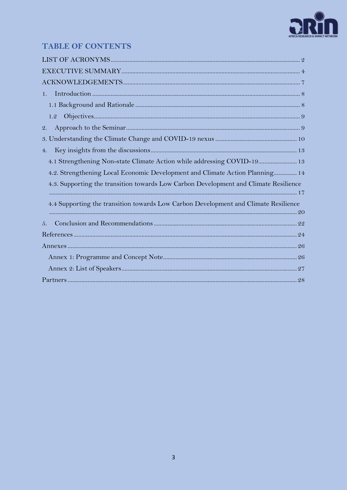

## **TABLE OF CONTENTS**

| 1.                                                                                   |  |
|--------------------------------------------------------------------------------------|--|
|                                                                                      |  |
| 1.2                                                                                  |  |
| $\mathbf{2}$ .                                                                       |  |
|                                                                                      |  |
| 4.                                                                                   |  |
| 4.1 Strengthening Non-state Climate Action while addressing COVID-19 13              |  |
| 4.2. Strengthening Local Economic Development and Climate Action Planning 14         |  |
| 4.3. Supporting the transition towards Low Carbon Development and Climate Resilience |  |
| 4.4 Supporting the transition towards Low Carbon Development and Climate Resilience  |  |
| 5.                                                                                   |  |
|                                                                                      |  |
|                                                                                      |  |
|                                                                                      |  |
|                                                                                      |  |
|                                                                                      |  |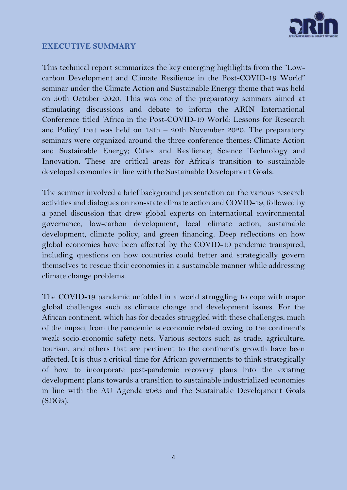

## <span id="page-4-0"></span>**EXECUTIVE SUMMARY**

This technical report summarizes the key emerging highlights from the "Lowcarbon Development and Climate Resilience in the Post-COVID-19 World" seminar under the Climate Action and Sustainable Energy theme that was held on 30th October 2020. This was one of the preparatory seminars aimed at stimulating discussions and debate to inform the ARIN International Conference titled 'Africa in the Post-COVID-19 World: Lessons for Research and Policy' that was held on 18th – 20th November 2020. The preparatory seminars were organized around the three conference themes: Climate Action and Sustainable Energy; Cities and Resilience; Science Technology and Innovation. These are critical areas for Africa's transition to sustainable developed economies in line with the Sustainable Development Goals.

The seminar involved a brief background presentation on the various research activities and dialogues on non-state climate action and COVID-19, followed by a panel discussion that drew global experts on international environmental governance, low-carbon development, local climate action, sustainable development, climate policy, and green financing. Deep reflections on how global economies have been affected by the COVID-19 pandemic transpired, including questions on how countries could better and strategically govern themselves to rescue their economies in a sustainable manner while addressing climate change problems.

The COVID-19 pandemic unfolded in a world struggling to cope with major global challenges such as climate change and development issues. For the African continent, which has for decades struggled with these challenges, much of the impact from the pandemic is economic related owing to the continent's weak socio-economic safety nets. Various sectors such as trade, agriculture, tourism, and others that are pertinent to the continent's growth have been affected. It is thus a critical time for African governments to think strategically of how to incorporate post-pandemic recovery plans into the existing development plans towards a transition to sustainable industrialized economies in line with the AU Agenda 2063 and the Sustainable Development Goals (SDGs).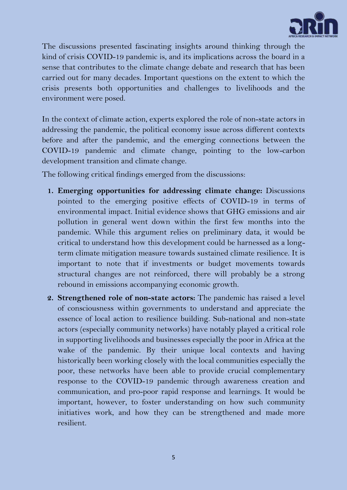

The discussions presented fascinating insights around thinking through the kind of crisis COVID-19 pandemic is, and its implications across the board in a sense that contributes to the climate change debate and research that has been carried out for many decades. Important questions on the extent to which the crisis presents both opportunities and challenges to livelihoods and the environment were posed.

In the context of climate action, experts explored the role of non-state actors in addressing the pandemic, the political economy issue across different contexts before and after the pandemic, and the emerging connections between the COVID-19 pandemic and climate change, pointing to the low-carbon development transition and climate change.

The following critical findings emerged from the discussions:

- **1. Emerging opportunities for addressing climate change:** Discussions pointed to the emerging positive effects of COVID-19 in terms of environmental impact. Initial evidence shows that GHG emissions and air pollution in general went down within the first few months into the pandemic. While this argument relies on preliminary data, it would be critical to understand how this development could be harnessed as a longterm climate mitigation measure towards sustained climate resilience. It is important to note that if investments or budget movements towards structural changes are not reinforced, there will probably be a strong rebound in emissions accompanying economic growth.
- **2. Strengthened role of non-state actors:** The pandemic has raised a level of consciousness within governments to understand and appreciate the essence of local action to resilience building. Sub-national and non-state actors (especially community networks) have notably played a critical role in supporting livelihoods and businesses especially the poor in Africa at the wake of the pandemic. By their unique local contexts and having historically been working closely with the local communities especially the poor, these networks have been able to provide crucial complementary response to the COVID-19 pandemic through awareness creation and communication, and pro-poor rapid response and learnings. It would be important, however, to foster understanding on how such community initiatives work, and how they can be strengthened and made more resilient.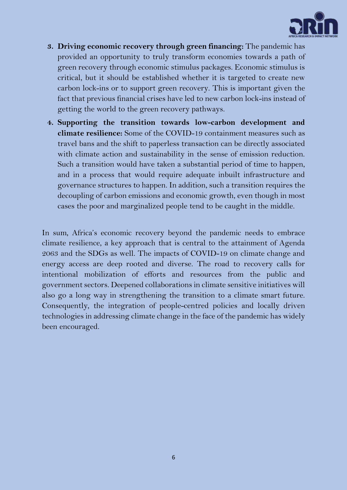

- **3. Driving economic recovery through green financing:** The pandemic has provided an opportunity to truly transform economies towards a path of green recovery through economic stimulus packages. Economic stimulus is critical, but it should be established whether it is targeted to create new carbon lock-ins or to support green recovery. This is important given the fact that previous financial crises have led to new carbon lock-ins instead of getting the world to the green recovery pathways.
- **4. Supporting the transition towards low-carbon development and climate resilience:** Some of the COVID-19 containment measures such as travel bans and the shift to paperless transaction can be directly associated with climate action and sustainability in the sense of emission reduction. Such a transition would have taken a substantial period of time to happen, and in a process that would require adequate inbuilt infrastructure and governance structures to happen. In addition, such a transition requires the decoupling of carbon emissions and economic growth, even though in most cases the poor and marginalized people tend to be caught in the middle.

In sum, Africa's economic recovery beyond the pandemic needs to embrace climate resilience, a key approach that is central to the attainment of Agenda 2063 and the SDGs as well. The impacts of COVID-19 on climate change and energy access are deep rooted and diverse. The road to recovery calls for intentional mobilization of efforts and resources from the public and government sectors. Deepened collaborations in climate sensitive initiatives will also go a long way in strengthening the transition to a climate smart future. Consequently, the integration of people-centred policies and locally driven technologies in addressing climate change in the face of the pandemic has widely been encouraged.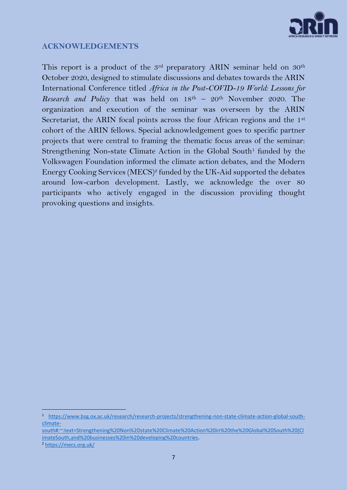

## <span id="page-7-0"></span>**ACKNOWLEDGEMENTS**

This report is a product of the 3<sup>rd</sup> preparatory ARIN seminar held on 30<sup>th</sup> October 2020, designed to stimulate discussions and debates towards the ARIN International Conference titled *Africa in the Post-COVID-19 World: Lessons for Research and Policy* that was held on 18<sup>th</sup> – 20<sup>th</sup> November 2020. The organization and execution of the seminar was overseen by the ARIN Secretariat, the ARIN focal points across the four African regions and the 1st cohort of the ARIN fellows. Special acknowledgement goes to specific partner projects that were central to framing the thematic focus areas of the seminar: Strengthening Non-state Climate Action in the Global South<sup>1</sup> funded by the Volkswagen Foundation informed the climate action debates, and the Modern Energy Cooking Services (MECS)<sup>2</sup> funded by the UK-Aid supported the debates around low-carbon development. Lastly, we acknowledge the over 80 participants who actively engaged in the discussion providing thought provoking questions and insights.

<sup>1</sup> [https://www.bsg.ox.ac.uk/research/research-projects/strengthening-non-state-climate-action-global-south](https://www.bsg.ox.ac.uk/research/research-projects/strengthening-non-state-climate-action-global-south-climate-south#:~:text=Strengthening%20Non%2Dstate%20Climate%20Action%20in%20the%20Global%20South%20(ClimateSouth,and%20businesses%20in%20developing%20countries)[climate-](https://www.bsg.ox.ac.uk/research/research-projects/strengthening-non-state-climate-action-global-south-climate-south#:~:text=Strengthening%20Non%2Dstate%20Climate%20Action%20in%20the%20Global%20South%20(ClimateSouth,and%20businesses%20in%20developing%20countries)

[south#:~:text=Strengthening%20Non%2Dstate%20Climate%20Action%20in%20the%20Global%20South%20\(Cl](https://www.bsg.ox.ac.uk/research/research-projects/strengthening-non-state-climate-action-global-south-climate-south#:~:text=Strengthening%20Non%2Dstate%20Climate%20Action%20in%20the%20Global%20South%20(ClimateSouth,and%20businesses%20in%20developing%20countries) [imateSouth,and%20businesses%20in%20developing%20countries.](https://www.bsg.ox.ac.uk/research/research-projects/strengthening-non-state-climate-action-global-south-climate-south#:~:text=Strengthening%20Non%2Dstate%20Climate%20Action%20in%20the%20Global%20South%20(ClimateSouth,and%20businesses%20in%20developing%20countries)

<sup>2</sup> <https://mecs.org.uk/>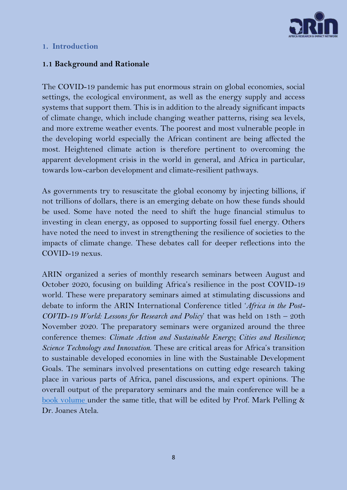

#### <span id="page-8-0"></span>**1. Introduction**

#### <span id="page-8-1"></span>**1.1 Background and Rationale**

The COVID-19 pandemic has put enormous strain on global economies, social settings, the ecological environment, as well as the energy supply and access systems that support them. This is in addition to the already significant impacts of climate change, which include changing weather patterns, rising sea levels, and more extreme weather events. The poorest and most vulnerable people in the developing world especially the African continent are being affected the most. Heightened climate action is therefore pertinent to overcoming the apparent development crisis in the world in general, and Africa in particular, towards low-carbon development and climate-resilient pathways.

As governments try to resuscitate the global economy by injecting billions, if not trillions of dollars, there is an emerging debate on how these funds should be used. Some have noted the need to shift the huge financial stimulus to investing in clean energy, as opposed to supporting fossil fuel energy. Others have noted the need to invest in strengthening the resilience of societies to the impacts of climate change. These debates call for deeper reflections into the COVID-19 nexus.

ARIN organized a series of monthly research seminars between August and October 2020, focusing on building Africa's resilience in the post COVID-19 world. These were preparatory seminars aimed at stimulating discussions and debate to inform the ARIN International Conference titled '*Africa in the Post-COVID-19 World: Lessons for Research and Policy*' that was held on 18th – 20th November 2020. The preparatory seminars were organized around the three conference themes: *Climate Action and Sustainable Energy; Cities and Resilience; Science Technology and Innovation*. These are critical areas for Africa's transition to sustainable developed economies in line with the Sustainable Development Goals. The seminars involved presentations on cutting edge research taking place in various parts of Africa, panel discussions, and expert opinions. The overall output of the preparatory seminars and the main conference will be a [book volume](https://www.arin-africa.org/2020/07/23/building-africas-resilience-in-the-post-covid-19-world-lessons-for-research-and-development-priorities-edited-by-joanes-atela-and-mark-pelling/) under the same title, that will be edited by Prof. Mark Pelling & Dr. Joanes Atela.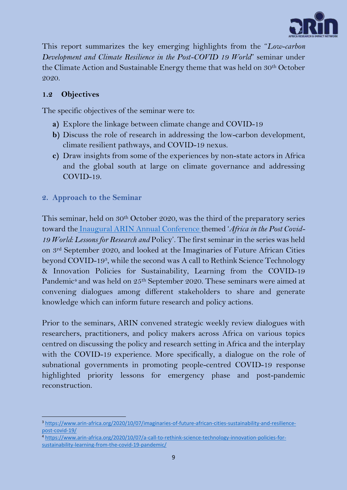

This report summarizes the key emerging highlights from the "*Low-carbon Development and Climate Resilience in the Post-COVID 19 World*" seminar under the Climate Action and Sustainable Energy theme that was held on 30th October 2020.

## <span id="page-9-0"></span>**1.2 Objectives**

The specific objectives of the seminar were to:

- **a)** Explore the linkage between climate change and COVID-19
- **b)** Discuss the role of research in addressing the low-carbon development, climate resilient pathways, and COVID-19 nexus.
- **c)** Draw insights from some of the experiences by non-state actors in Africa and the global south at large on climate governance and addressing COVID-19.
- <span id="page-9-1"></span>**2. Approach to the Seminar**

This seminar, held on  $30<sup>th</sup>$  October 2020, was the third of the preparatory series toward the [Inaugural ARIN Annual Conference](https://www.arin-africa.org/the-africa-research-and-impact-network-international-conference-on-africa-in-the-post-covid-19-world-lessons-for-research-and-policy/) themed '*Africa in the Post Covid-19 World: Lessons for Research and* Policy'. The first seminar in the series was held on 3rd September 2020, and looked at the Imaginaries of Future African Cities beyond COVID-19<sup>3</sup> , while the second was [A call to Rethink Science Technology](https://www.arin-africa.org/2020/10/07/a-call-to-rethink-science-technology-innovation-policies-for-sustainability-learning-from-the-covid-19-pandemic/)  [& Innovation Policies for Sustainability, Learning from the COVID-19](https://www.arin-africa.org/2020/10/07/a-call-to-rethink-science-technology-innovation-policies-for-sustainability-learning-from-the-covid-19-pandemic/)  [Pandemic](https://www.arin-africa.org/2020/10/07/a-call-to-rethink-science-technology-innovation-policies-for-sustainability-learning-from-the-covid-19-pandemic/)<sup>4</sup> and was held on 25<sup>th</sup> September 2020. These seminars were aimed at convening dialogues among different stakeholders to share and generate knowledge which can inform future research and policy actions.

Prior to the seminars, ARIN convened strategic weekly review dialogues with researchers, practitioners, and policy makers across Africa on various topics centred on discussing the policy and research setting in Africa and the interplay with the COVID-19 experience. More specifically, a dialogue on the role of subnational governments in promoting people-centred COVID-19 response highlighted priority lessons for emergency phase and post-pandemic reconstruction.

<sup>&</sup>lt;sup>3</sup> [https://www.arin-africa.org/2020/10/07/imaginaries-of-future-african-cities-sustainability-and-resilience](https://www.arin-africa.org/2020/10/07/imaginaries-of-future-african-cities-sustainability-and-resilience-post-covid-19/)[post-covid-19/](https://www.arin-africa.org/2020/10/07/imaginaries-of-future-african-cities-sustainability-and-resilience-post-covid-19/)

<sup>4</sup> [https://www.arin-africa.org/2020/10/07/a-call-to-rethink-science-technology-innovation-policies-for](https://www.arin-africa.org/2020/10/07/a-call-to-rethink-science-technology-innovation-policies-for-sustainability-learning-from-the-covid-19-pandemic/)[sustainability-learning-from-the-covid-19-pandemic/](https://www.arin-africa.org/2020/10/07/a-call-to-rethink-science-technology-innovation-policies-for-sustainability-learning-from-the-covid-19-pandemic/)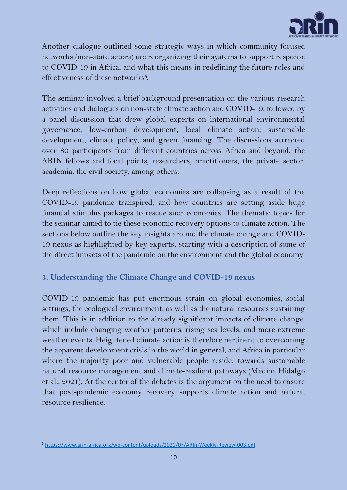

Another dialogue outlined some strategic ways in which community-focused networks (non-state actors) are reorganizing their systems to support response to COVID-19 in Africa, and what this means in redefining the future roles and effectiveness of these networks $5$ .

The seminar involved a brief background presentation on the various research activities and dialogues on non-state climate action and COVID-19, followed by a panel discussion that drew global experts on international environmental governance, low-carbon development, local climate action, sustainable development, climate policy, and green financing. The discussions attracted over 80 participants from different countries across Africa and beyond, the ARIN fellows and focal points, researchers, practitioners, the private sector, academia, the civil society, among others.

Deep reflections on how global economies are collapsing as a result of the COVID-19 pandemic transpired, and how countries are setting aside huge financial stimulus packages to rescue such economies. The thematic topics for the seminar aimed to tie these economic recovery options to climate action. The sections below outline the key insights around the climate change and COVID-19 nexus as highlighted by key experts, starting with a description of some of the direct impacts of the pandemic on the environment and the global economy.

## <span id="page-10-0"></span>**3. Understanding the Climate Change and COVID-19 nexus**

COVID-19 pandemic has put enormous strain on global economies, social settings, the ecological environment, as well as the natural resources sustaining them. This is in addition to the already significant impacts of climate change, which include changing weather patterns, rising sea levels, and more extreme weather events. Heightened climate action is therefore pertinent to overcoming the apparent development crisis in the world in general, and Africa in particular where the majority poor and vulnerable people reside, towards sustainable natural resource management and climate-resilient pathways (Medina Hidalgo et al., 2021). At the center of the debates is the argument on the need to ensure that post-pandemic economy recovery supports climate action and natural resource resilience.

<sup>5</sup> <https://www.arin-africa.org/wp-content/uploads/2020/07/ARIn-Weekly-Review-003.pdf>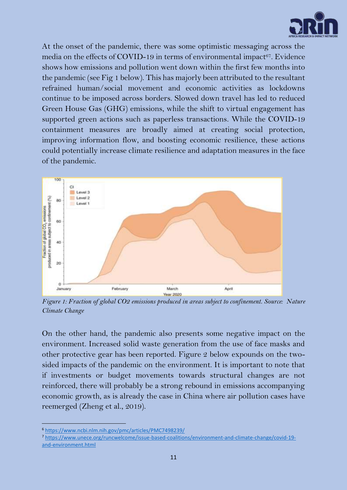

At the onset of the pandemic, there was some optimistic messaging across the media on the effects of COVID-19 in terms of environmental impact $\mathrm{^{67}.}$  Evidence shows how emissions and pollution went down within the first few months into the pandemic (see Fig 1 below). This has majorly been attributed to the resultant refrained human/social movement and economic activities as lockdowns continue to be imposed across borders. Slowed down travel has led to reduced Green House Gas (GHG) emissions, while the shift to virtual engagement has supported green actions such as paperless transactions. While the COVID-19 containment measures are broadly aimed at creating social protection, improving information flow, and boosting economic resilience, these actions could potentially increase climate resilience and adaptation measures in the face of the pandemic.



*Figure 1: Fraction of global CO2 emissions produced in areas subject to confinement. Source: Nature Climate Change*

On the other hand, the pandemic also presents some negative impact on the environment. Increased solid waste generation from the use of face masks and other protective gear has been reported. Figure 2 below expounds on the twosided impacts of the pandemic on the environment. It is important to note that if investments or budget movements towards structural changes are not reinforced, there will probably be a strong rebound in emissions accompanying economic growth, as is already the case in China where air pollution cases have reemerged (Zheng et al., 2019).

<sup>6</sup> <https://www.ncbi.nlm.nih.gov/pmc/articles/PMC7498239/>

<sup>7</sup> [https://www.unece.org/runcwelcome/issue-based-coalitions/environment-and-climate-change/covid-19](https://www.unece.org/runcwelcome/issue-based-coalitions/environment-and-climate-change/covid-19-and-environment.html) [and-environment.html](https://www.unece.org/runcwelcome/issue-based-coalitions/environment-and-climate-change/covid-19-and-environment.html)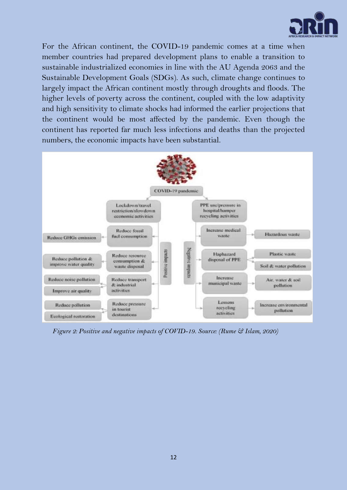

For the African continent, the COVID-19 pandemic comes at a time when member countries had prepared development plans to enable a transition to sustainable industrialized economies in line with the AU Agenda 2063 and the Sustainable Development Goals (SDGs). As such, climate change continues to largely impact the African continent mostly through droughts and floods. The higher levels of poverty across the continent, coupled with the low adaptivity and high sensitivity to climate shocks had informed the earlier projections that the continent would be most affected by the pandemic. Even though the continent has reported far much less infections and deaths than the projected numbers, the economic impacts have been substantial.



*Figure 2: Positive and negative impacts of COVID-19. Source: (Rume & Islam, 2020)*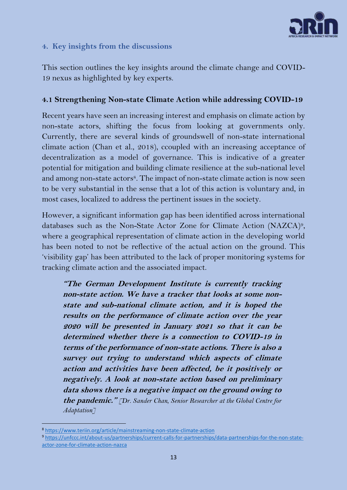

## <span id="page-13-0"></span>**4. Key insights from the discussions**

This section outlines the key insights around the climate change and COVID-19 nexus as highlighted by key experts.

#### <span id="page-13-1"></span>**4.1 Strengthening Non-state Climate Action while addressing COVID-19**

Recent years have seen an increasing interest and emphasis on climate action by non-state actors, shifting the focus from looking at governments only. Currently, there are several kinds of groundswell of non-state international climate action (Chan et al., 2018), ccoupled with an increasing acceptance of decentralization as a model of governance. This is indicative of a greater potential for mitigation and building climate resilience at the sub-national level and among non-state actors<sup>8</sup>. The impact of non-state climate action is now seen to be very substantial in the sense that a lot of this action is voluntary and, in most cases, localized to address the pertinent issues in the society.

However, a significant information gap has been identified across international databases such as the Non-State Actor Zone for Climate Action (NAZCA)<sup>9</sup> , where a geographical representation of climate action in the developing world has been noted to not be reflective of the actual action on the ground. This 'visibility gap' has been attributed to the lack of proper monitoring systems for tracking climate action and the associated impact.

**"The German Development Institute is currently tracking non-state action. We have a tracker that looks at some nonstate and sub-national climate action, and it is hoped the results on the performance of climate action over the year 2020 will be presented in January 2021 so that it can be determined whether there is a connection to COVID-19 in terms of the performance of non-state actions. There is also a survey out trying to understand which aspects of climate action and activities have been affected, be it positively or negatively. A look at non-state action based on preliminary data shows there is a negative impact on the ground owing to the pandemic."** *[Dr. Sander Chan, Senior Researcher at the Global Centre for Adaptation]*

<sup>8</sup> <https://www.teriin.org/article/mainstreaming-non-state-climate-action>

<sup>9</sup> [https://unfccc.int/about-us/partnerships/current-calls-for-partnerships/data-partnerships-for-the-non-state](https://unfccc.int/about-us/partnerships/current-calls-for-partnerships/data-partnerships-for-the-non-state-actor-zone-for-climate-action-nazca)[actor-zone-for-climate-action-nazca](https://unfccc.int/about-us/partnerships/current-calls-for-partnerships/data-partnerships-for-the-non-state-actor-zone-for-climate-action-nazca)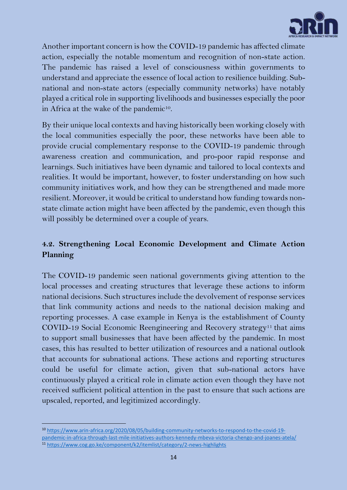

Another important concern is how the COVID-19 pandemic has affected climate action, especially the notable momentum and recognition of non-state action. The pandemic has raised a level of consciousness within governments to understand and appreciate the essence of local action to resilience building. Subnational and non-state actors (especially community networks) have notably played a critical role in supporting livelihoods and businesses especially the poor in Africa at the wake of the pandemic $^{10}$ .

By their unique local contexts and having historically been working closely with the local communities especially the poor, these networks have been able to provide crucial complementary response to the COVID-19 pandemic through awareness creation and communication, and pro-poor rapid response and learnings. Such initiatives have been dynamic and tailored to local contexts and realities. It would be important, however, to foster understanding on how such community initiatives work, and how they can be strengthened and made more resilient. Moreover, it would be critical to understand how funding towards nonstate climate action might have been affected by the pandemic, even though this will possibly be determined over a couple of years.

## <span id="page-14-0"></span>**4.2. Strengthening Local Economic Development and Climate Action Planning**

The COVID-19 pandemic seen national governments giving attention to the local processes and creating structures that leverage these actions to inform national decisions. Such structures include the devolvement of response services that link community actions and needs to the national decision making and reporting processes. A case example in Kenya is the establishment of County COVID-19 Social Economic Reengineering and Recovery strategy<sup>11</sup> that aims to support small businesses that have been affected by the pandemic. In most cases, this has resulted to better utilization of resources and a national outlook that accounts for subnational actions. These actions and reporting structures could be useful for climate action, given that sub-national actors have continuously played a critical role in climate action even though they have not received sufficient political attention in the past to ensure that such actions are upscaled, reported, and legitimized accordingly.

<sup>10</sup> [https://www.arin-africa.org/2020/08/05/building-community-networks-to-respond-to-the-covid-19](https://www.arin-africa.org/2020/08/05/building-community-networks-to-respond-to-the-covid-19-pandemic-in-africa-through-last-mile-initiatives-authors-kennedy-mbeva-victoria-chengo-and-joanes-atela/) [pandemic-in-africa-through-last-mile-initiatives-authors-kennedy-mbeva-victoria-chengo-and-joanes-atela/](https://www.arin-africa.org/2020/08/05/building-community-networks-to-respond-to-the-covid-19-pandemic-in-africa-through-last-mile-initiatives-authors-kennedy-mbeva-victoria-chengo-and-joanes-atela/) <sup>11</sup> <https://www.cog.go.ke/component/k2/itemlist/category/2-news-highlights>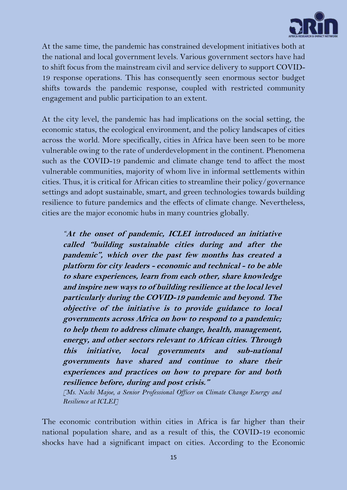

At the same time, the pandemic has constrained development initiatives both at the national and local government levels. Various government sectors have had to shift focus from the mainstream civil and service delivery to support COVID-19 response operations. This has consequently seen enormous sector budget shifts towards the pandemic response, coupled with restricted community engagement and public participation to an extent.

At the city level, the pandemic has had implications on the social setting, the economic status, the ecological environment, and the policy landscapes of cities across the world. More specifically, cities in Africa have been seen to be more vulnerable owing to the rate of underdevelopment in the continent. Phenomena such as the COVID-19 pandemic and climate change tend to affect the most vulnerable communities, majority of whom live in informal settlements within cities. Thus, it is critical for African cities to streamline their policy/governance settings and adopt sustainable, smart, and green technologies towards building resilience to future pandemics and the effects of climate change. Nevertheless, cities are the major economic hubs in many countries globally.

*"***At the onset of pandemic, ICLEI introduced an initiative called "building sustainable cities during and after the pandemic", which over the past few months has created a platform for city leaders - economic and technical - to be able to share experiences, learn from each other, share knowledge and inspire new ways to of building resilience at the local level particularly during the COVID-19 pandemic and beyond. The objective of the initiative is to provide guidance to local governments across Africa on how to respond to a pandemic; to help them to address climate change, health, management, energy, and other sectors relevant to African cities. Through this initiative, local governments and sub-national governments have shared and continue to share their experiences and practices on how to prepare for and both resilience before, during and post crisis."**

*[Ms. Nachi Majoe, a Senior Professional Officer on Climate Change Energy and Resilience at ICLEI]*

The economic contribution within cities in Africa is far higher than their national population share, and as a result of this, the COVID-19 economic shocks have had a significant impact on cities. According to the Economic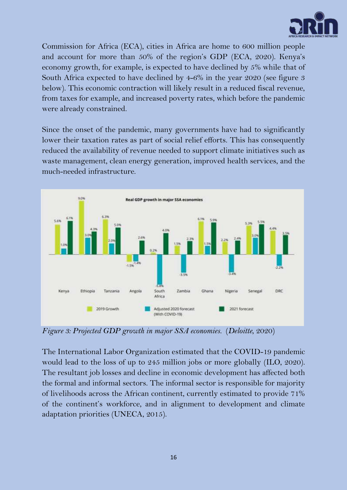

Commission for Africa (ECA), cities in Africa are home to 600 million people and account for more than 50% of the region's GDP (ECA, 2020). Kenya's economy growth, for example, is expected to have declined by 5% while that of South Africa expected to have declined by 4-6% in the year 2020 (see figure 3 below). This economic contraction will likely result in a reduced fiscal revenue, from taxes for example, and increased poverty rates, which before the pandemic were already constrained.

Since the onset of the pandemic, many governments have had to significantly lower their taxation rates as part of social relief efforts. This has consequently reduced the availability of revenue needed to support climate initiatives such as waste management, clean energy generation, improved health services, and the much-needed infrastructure.



*Figure 3: Projected GDP growth in major SSA economies.* (*Deloitte*, 2020)

The International Labor Organization estimated that the COVID-19 pandemic would lead to the loss of up to 245 million jobs or more globally (ILO, 2020). The resultant job losses and decline in economic development has affected both the formal and informal sectors. The informal sector is responsible for majority of livelihoods across the African continent, currently estimated to provide 71% of the continent's workforce, and in alignment to development and climate adaptation priorities (UNECA, 2015).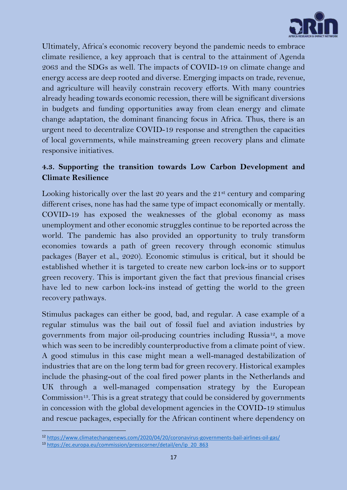

Ultimately, Africa's economic recovery beyond the pandemic needs to embrace climate resilience, a key approach that is central to the attainment of Agenda 2063 and the SDGs as well. The impacts of COVID-19 on climate change and energy access are deep rooted and diverse. Emerging impacts on trade, revenue, and agriculture will heavily constrain recovery efforts. With many countries already heading towards economic recession, there will be significant diversions in budgets and funding opportunities away from clean energy and climate change adaptation, the dominant financing focus in Africa. Thus, there is an urgent need to decentralize COVID-19 response and strengthen the capacities of local governments, while mainstreaming green recovery plans and climate responsive initiatives.

## <span id="page-17-0"></span>**4.3. Supporting the transition towards Low Carbon Development and Climate Resilience**

Looking historically over the last 20 years and the  $21^{st}$  century and comparing different crises, none has had the same type of impact economically or mentally. COVID-19 has exposed the weaknesses of the global economy as mass unemployment and other economic struggles continue to be reported across the world. The pandemic has also provided an opportunity to truly transform economies towards a path of green recovery through economic stimulus packages (Bayer et al., 2020). Economic stimulus is critical, but it should be established whether it is targeted to create new carbon lock-ins or to support green recovery. This is important given the fact that previous financial crises have led to new carbon lock-ins instead of getting the world to the green recovery pathways.

Stimulus packages can either be good, bad, and regular. A case example of a regular stimulus was the bail out of fossil fuel and aviation industries by governments from major oil-producing countries including Russia12, a move which was seen to be incredibly counterproductive from a climate point of view. A good stimulus in this case might mean a well-managed destabilization of industries that are on the long term bad for green recovery. Historical examples include the phasing-out of the coal fired power plants in the Netherlands and UK through a well-managed compensation strategy by the European Commission<sup>13</sup>. This is a great strategy that could be considered by governments in concession with the global development agencies in the COVID-19 stimulus and rescue packages, especially for the African continent where dependency on

<sup>12</sup> <https://www.climatechangenews.com/2020/04/20/coronavirus-governments-bail-airlines-oil-gas/>

<sup>13</sup> [https://ec.europa.eu/commission/presscorner/detail/en/ip\\_20\\_863](https://ec.europa.eu/commission/presscorner/detail/en/ip_20_863)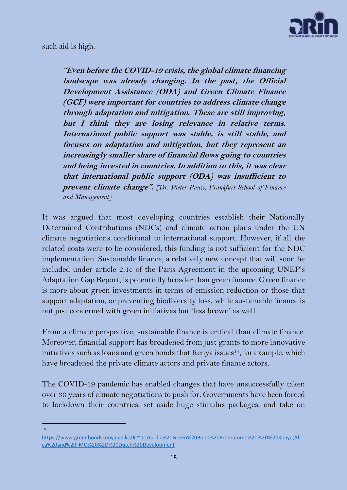

such aid is high.

**"Even before the COVID-19 crisis, the global climate financing landscape was already changing. In the past, the Official Development Assistance (ODA) and Green Climate Finance (GCF) were important for countries to address climate change through adaptation and mitigation. These are still improving, but I think they are losing relevance in relative terms. International public support was stable, is still stable, and focuses on adaptation and mitigation, but they represent an increasingly smaller share of financial flows going to countries and being invested in countries. In addition to this, it was clear that international public support (ODA) was insufficient to prevent climate change".** *[Dr. Pieter Pauw, Frankfurt School of Finance and Management]*

It was argued that most developing countries establish their Nationally Determined Contributions (NDCs) and climate action plans under the UN climate negotiations conditional to international support. However, if all the related costs were to be considered, this funding is not sufficient for the NDC implementation. Sustainable finance, a relatively new concept that will soon be included under article 2.1c of the Paris Agreement in the upcoming UNEP's Adaptation Gap Report, is potentially broader than green finance. Green finance is more about green investments in terms of emission reduction or those that support adaptation, or preventing biodiversity loss, while sustainable finance is not just concerned with green initiatives but 'less brown' as well.

From a climate perspective, sustainable finance is critical than climate finance. Moreover, financial support has broadened from just grants to more innovative initiatives such as loans and green bonds that Kenya issues<sup>14</sup>, for example, which have broadened the private climate actors and private finance actors.

The COVID-19 pandemic has enabled changes that have unsuccessfully taken over 30 years of climate negotiations to push for. Governments have been forced to lockdown their countries, set aside huge stimulus packages, and take on

 $14$ 

[https://www.greenbondskenya.co.ke/#:~:text=The%20Green%20Bond%20Programme%20%2D%20Kenya,Afri](https://www.greenbondskenya.co.ke/#:~:text=The%20Green%20Bond%20Programme%20%2D%20Kenya,Africa%20and%20FMO%20%2D%20Dutch%20Development) [ca%20and%20FMO%20%2D%20Dutch%20Development](https://www.greenbondskenya.co.ke/#:~:text=The%20Green%20Bond%20Programme%20%2D%20Kenya,Africa%20and%20FMO%20%2D%20Dutch%20Development)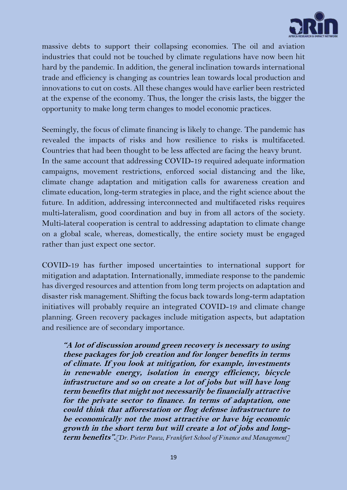

massive debts to support their collapsing economies. The oil and aviation industries that could not be touched by climate regulations have now been hit hard by the pandemic. In addition, the general inclination towards international trade and efficiency is changing as countries lean towards local production and innovations to cut on costs. All these changes would have earlier been restricted at the expense of the economy. Thus, the longer the crisis lasts, the bigger the opportunity to make long term changes to model economic practices.

Seemingly, the focus of climate financing is likely to change. The pandemic has revealed the impacts of risks and how resilience to risks is multifaceted. Countries that had been thought to be less affected are facing the heavy brunt. In the same account that addressing COVID-19 required adequate information campaigns, movement restrictions, enforced social distancing and the like, climate change adaptation and mitigation calls for awareness creation and climate education, long-term strategies in place, and the right science about the future. In addition, addressing interconnected and multifaceted risks requires multi-lateralism, good coordination and buy in from all actors of the society. Multi-lateral cooperation is central to addressing adaptation to climate change on a global scale, whereas, domestically, the entire society must be engaged rather than just expect one sector.

COVID-19 has further imposed uncertainties to international support for mitigation and adaptation. Internationally, immediate response to the pandemic has diverged resources and attention from long term projects on adaptation and disaster risk management. Shifting the focus back towards long-term adaptation initiatives will probably require an integrated COVID-19 and climate change planning. Green recovery packages include mitigation aspects, but adaptation and resilience are of secondary importance.

**"A lot of discussion around green recovery is necessary to using these packages for job creation and for longer benefits in terms of climate. If you look at mitigation, for example, investments in renewable energy, isolation in energy efficiency, bicycle infrastructure and so on create a lot of jobs but will have long term benefits that might not necessarily be financially attractive for the private sector to finance. In terms of adaptation, one could think that afforestation or flog defense infrastructure to be economically not the most attractive or have big economic growth in the short term but will create a lot of jobs and longterm benefits".***[Dr. Pieter Pauw, Frankfurt School of Finance and Management]*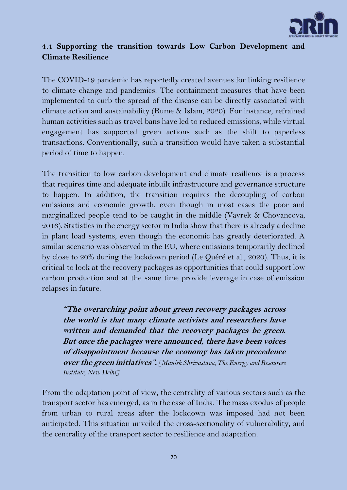

## <span id="page-20-0"></span>**4.4 Supporting the transition towards Low Carbon Development and Climate Resilience**

The COVID-19 pandemic has reportedly created avenues for linking resilience to climate change and pandemics. The containment measures that have been implemented to curb the spread of the disease can be directly associated with climate action and sustainability (Rume & Islam, 2020). For instance, refrained human activities such as travel bans have led to reduced emissions, while virtual engagement has supported green actions such as the shift to paperless transactions. Conventionally, such a transition would have taken a substantial period of time to happen.

The transition to low carbon development and climate resilience is a process that requires time and adequate inbuilt infrastructure and governance structure to happen. In addition, the transition requires the decoupling of carbon emissions and economic growth, even though in most cases the poor and marginalized people tend to be caught in the middle (Vavrek & Chovancova, 2016). Statistics in the energy sector in India show that there is already a decline in plant load systems, even though the economic has greatly deteriorated. A similar scenario was observed in the EU, where emissions temporarily declined by close to 20% during the lockdown period (Le Quéré et al., 2020). Thus, it is critical to look at the recovery packages as opportunities that could support low carbon production and at the same time provide leverage in case of emission relapses in future.

**"The overarching point about green recovery packages across the world is that many climate activists and researchers have written and demanded that the recovery packages be green. But once the packages were announced, there have been voices of disappointment because the economy has taken precedence over the green initiatives".** *[Manish Shrivastava, The Energy and Resources Institute, New Delhi]*

From the adaptation point of view, the centrality of various sectors such as the transport sector has emerged, as in the case of India. The mass exodus of people from urban to rural areas after the lockdown was imposed had not been anticipated. This situation unveiled the cross-sectionality of vulnerability, and the centrality of the transport sector to resilience and adaptation.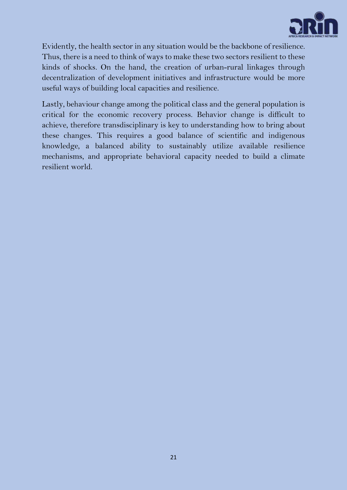

Evidently, the health sector in any situation would be the backbone of resilience. Thus, there is a need to think of ways to make these two sectors resilient to these kinds of shocks. On the hand, the creation of urban-rural linkages through decentralization of development initiatives and infrastructure would be more useful ways of building local capacities and resilience.

Lastly, behaviour change among the political class and the general population is critical for the economic recovery process. Behavior change is difficult to achieve, therefore transdisciplinary is key to understanding how to bring about these changes. This requires a good balance of scientific and indigenous knowledge, a balanced ability to sustainably utilize available resilience mechanisms, and appropriate behavioral capacity needed to build a climate resilient world.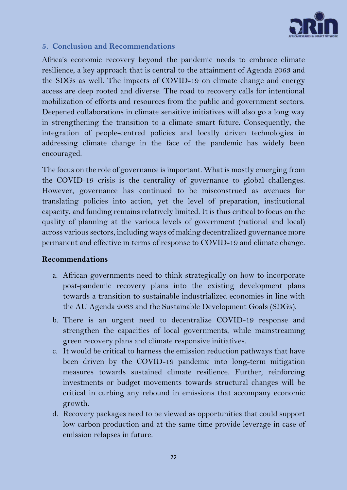

## <span id="page-22-0"></span>**5. Conclusion and Recommendations**

Africa's economic recovery beyond the pandemic needs to embrace climate resilience, a key approach that is central to the attainment of Agenda 2063 and the SDGs as well. The impacts of COVID-19 on climate change and energy access are deep rooted and diverse. The road to recovery calls for intentional mobilization of efforts and resources from the public and government sectors. Deepened collaborations in climate sensitive initiatives will also go a long way in strengthening the transition to a climate smart future. Consequently, the integration of people-centred policies and locally driven technologies in addressing climate change in the face of the pandemic has widely been encouraged.

The focus on the role of governance is important. What is mostly emerging from the COVID-19 crisis is the centrality of governance to global challenges. However, governance has continued to be misconstrued as avenues for translating policies into action, yet the level of preparation, institutional capacity, and funding remains relatively limited. It is thus critical to focus on the quality of planning at the various levels of government (national and local) across various sectors, including ways of making decentralized governance more permanent and effective in terms of response to COVID-19 and climate change.

## **Recommendations**

- a. African governments need to think strategically on how to incorporate post-pandemic recovery plans into the existing development plans towards a transition to sustainable industrialized economies in line with the AU Agenda 2063 and the Sustainable Development Goals (SDGs).
- b. There is an urgent need to decentralize COVID-19 response and strengthen the capacities of local governments, while mainstreaming green recovery plans and climate responsive initiatives.
- c. It would be critical to harness the emission reduction pathways that have been driven by the COVID-19 pandemic into long-term mitigation measures towards sustained climate resilience. Further, reinforcing investments or budget movements towards structural changes will be critical in curbing any rebound in emissions that accompany economic growth.
- d. Recovery packages need to be viewed as opportunities that could support low carbon production and at the same time provide leverage in case of emission relapses in future.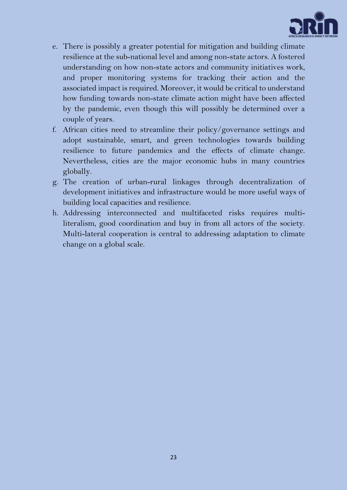

- e. There is possibly a greater potential for mitigation and building climate resilience at the sub-national level and among non-state actors. A fostered understanding on how non-state actors and community initiatives work, and proper monitoring systems for tracking their action and the associated impact is required. Moreover, it would be critical to understand how funding towards non-state climate action might have been affected by the pandemic, even though this will possibly be determined over a couple of years.
- f. African cities need to streamline their policy/governance settings and adopt sustainable, smart, and green technologies towards building resilience to future pandemics and the effects of climate change. Nevertheless, cities are the major economic hubs in many countries globally.
- g. The creation of urban-rural linkages through decentralization of development initiatives and infrastructure would be more useful ways of building local capacities and resilience.
- h. Addressing interconnected and multifaceted risks requires multiliteralism, good coordination and buy in from all actors of the society. Multi-lateral cooperation is central to addressing adaptation to climate change on a global scale.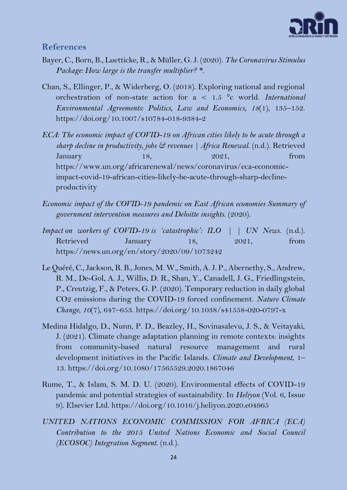

#### <span id="page-24-0"></span>**References**

- Bayer, C., Born, B., Luetticke, R., & Müller, G. J. (2020). *The Coronavirus Stimulus Package: How large is the transfer multiplier? \**.
- Chan, S., Ellinger, P., & Widerberg, O. (2018). Exploring national and regional orchestration of non-state action for a < 1.5 °c world. *International Environmental Agreements: Politics, Law and Economics*, *18*(1), 135–152. https://doi.org/10.1007/s10784-018-9384-2
- *ECA: The economic impact of COVID-19 on African cities likely to be acute through a sharp decline in productivity, jobs & revenues | Africa Renewal*. (n.d.). Retrieved January  $18$ ,  $2021$ ,  $18$ https://www.un.org/africarenewal/news/coronavirus/eca-economicimpact-covid-19-african-cities-likely-be-acute-through-sharp-declineproductivity
- *Economic impact of the COVID-19 pandemic on East African economies Summary of government intervention measures and Deloitte insights*. (2020).
- *Impact on workers of COVID-19 is 'catastrophic': ILO | | UN News*. (n.d.). Retrieved January 18, 2021, from https://news.un.org/en/story/2020/09/1073242
- Le Quéré, C., Jackson, R. B., Jones, M. W., Smith, A. J. P., Abernethy, S., Andrew, R. M., De-Gol, A. J., Willis, D. R., Shan, Y., Canadell, J. G., Friedlingstein, P., Creutzig, F., & Peters, G. P. (2020). Temporary reduction in daily global CO2 emissions during the COVID-19 forced confinement. *Nature Climate Change*, *10*(7), 647–653. https://doi.org/10.1038/s41558-020-0797-x
- Medina Hidalgo, D., Nunn, P. D., Beazley, H., Sovinasalevu, J. S., & Veitayaki, J. (2021). Climate change adaptation planning in remote contexts: insights from community-based natural resource management and rural development initiatives in the Pacific Islands. *Climate and Development*, 1– 13. https://doi.org/10.1080/17565529.2020.1867046
- Rume, T., & Islam, S. M. D. U. (2020). Environmental effects of COVID-19 pandemic and potential strategies of sustainability. In *Heliyon* (Vol. 6, Issue 9). Elsevier Ltd. https://doi.org/10.1016/j.heliyon.2020.e04965
- *UNITED NATIONS ECONOMIC COMMISSION FOR AFRICA (ECA) Contribution to the 2015 United Nations Economic and Social Council (ECOSOC) Integration Segment*. (n.d.).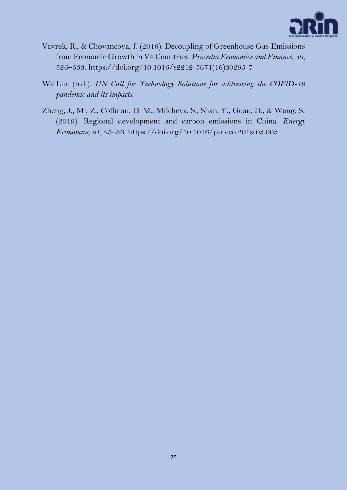

- Vavrek, R., & Chovancova, J. (2016). Decoupling of Greenhouse Gas Emissions from Economic Growth in V4 Countries. *Procedia Economics and Finance*, *39*, 526–533. https://doi.org/10.1016/s2212-5671(16)30295-7
- WeiLiu. (n.d.). *UN Call for Technology Solutions for addressing the COVID-19 pandemic and its impacts*.
- Zheng, J., Mi, Z., Coffman, D. M., Milcheva, S., Shan, Y., Guan, D., & Wang, S. (2019). Regional development and carbon emissions in China. *Energy Economics*, *81*, 25–36. https://doi.org/10.1016/j.eneco.2019.03.003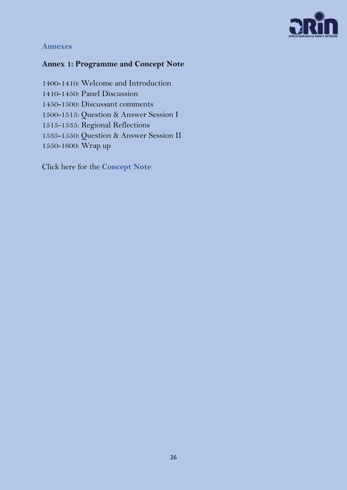

## <span id="page-26-0"></span>**Annexes**

# <span id="page-26-1"></span>**Annex 1: Programme and Concept Note**

1400-1410: Welcome and Introduction 1410-1450: Panel Discussion 1450-1500: Discussant comments 1500-1515: Question & Answer Session I 1515-1535: Regional Reflections 1535-1550: Question & Answer Session II 1550-1600: Wrap up

Click here for the **[Concept Note](https://www.arin-africa.org/wp-content/uploads/2020/10/Climate-action-sustainable-energy-Concept-note_Seminar-3.pdf)**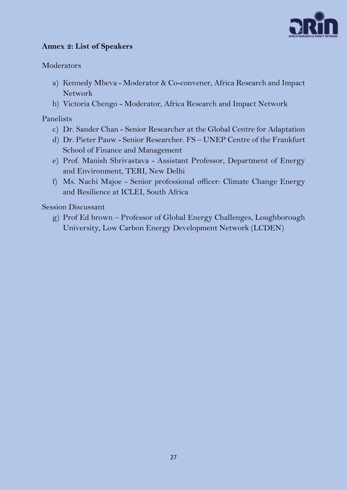

## <span id="page-27-0"></span>**Annex 2: List of Speakers**

## Moderators

- a) Kennedy Mbeva Moderator & Co-convener, Africa Research and Impact Network
- b) Victoria Chengo Moderator, Africa Research and Impact Network

#### Panelists

- c) Dr. Sander Chan Senior Researcher at the Global Centre for Adaptation
- d) Dr. Pieter Pauw Senior Researcher. FS UNEP Centre of the Frankfurt School of Finance and Management
- e) Prof. Manish Shrivastava Assistant Professor, Department of Energy and Environment, TERI, New Delhi
- f) Ms. Nachi Majoe Senior professional officer: Climate Change Energy and Resilience at ICLEI, South Africa

Session Discussant

g) Prof Ed brown – Professor of Global Energy Challenges, Loughborough University, Low Carbon Energy Development Network (LCDEN)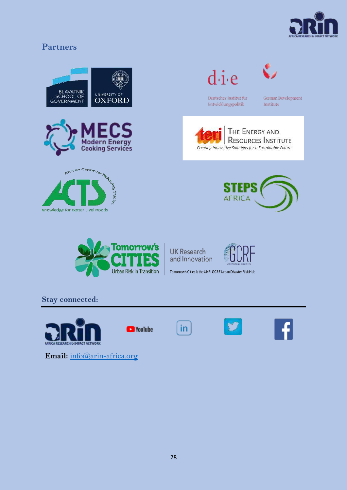

# <span id="page-28-0"></span>**Partners**



**Email:** [info@arin-africa.org](file:///C:/vchengo/AppData/Local/Microsoft/Windows/INetCache/Content.Outlook/O4I36ACA/info@arin-africa.org)